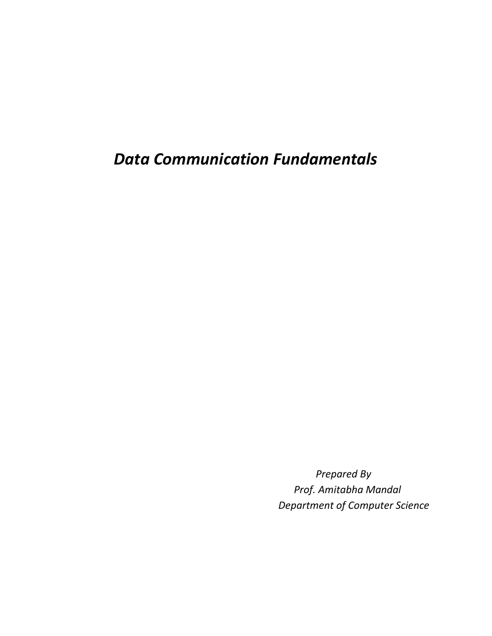*Data Communication Fundamentals*

 *Prepared By Prof. Amitabha Mandal Department of Computer Science*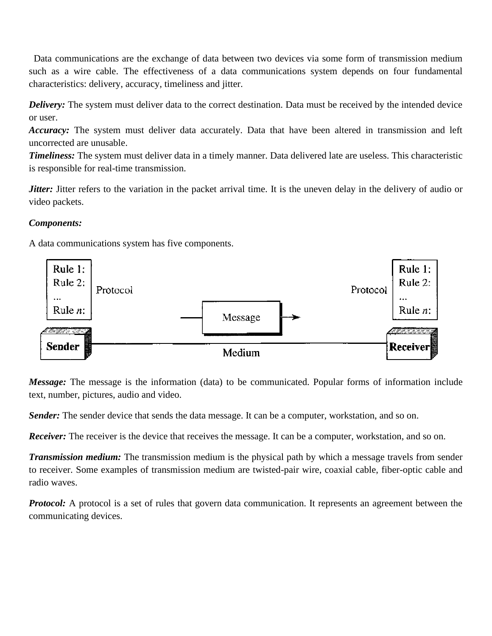Data communications are the exchange of data between two devices via some form of transmission medium such as a wire cable. The effectiveness of a data communications system depends on four fundamental characteristics: delivery, accuracy, timeliness and jitter.

*Delivery:* The system must deliver data to the correct destination. Data must be received by the intended device or user.

*Accuracy:* The system must deliver data accurately. Data that have been altered in transmission and left uncorrected are unusable.

*Timeliness:* The system must deliver data in a timely manner. Data delivered late are useless. This characteristic is responsible for real-time transmission.

*Jitter*: Jitter refers to the variation in the packet arrival time. It is the uneven delay in the delivery of audio or video packets.

### *Components:*

A data communications system has five components.



*Message:* The message is the information (data) to be communicated. Popular forms of information include text, number, pictures, audio and video.

*Sender:* The sender device that sends the data message. It can be a computer, workstation, and so on.

*Receiver:* The receiver is the device that receives the message. It can be a computer, workstation, and so on.

*Transmission medium:* The transmission medium is the physical path by which a message travels from sender to receiver. Some examples of transmission medium are twisted-pair wire, coaxial cable, fiber-optic cable and radio waves.

*Protocol:* A protocol is a set of rules that govern data communication. It represents an agreement between the communicating devices.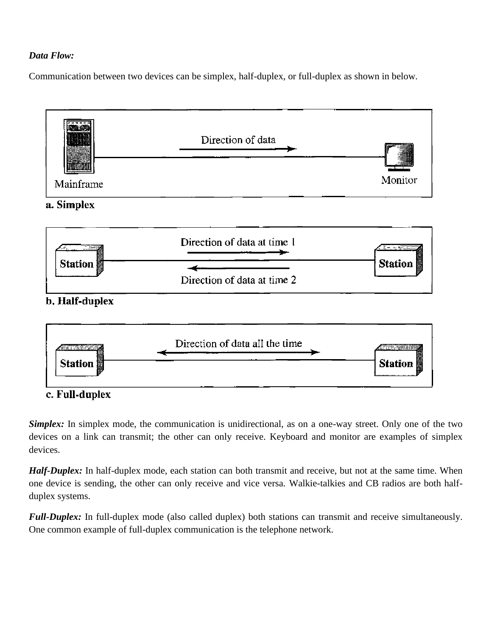### *Data Flow:*

Communication between two devices can be simplex, half-duplex, or full-duplex as shown in below.





b. Half-duplex



c. Full-duplex

*Simplex:* In simplex mode, the communication is unidirectional, as on a one-way street. Only one of the two devices on a link can transmit; the other can only receive. Keyboard and monitor are examples of simplex devices.

*Half-Duplex:* In half-duplex mode, each station can both transmit and receive, but not at the same time. When one device is sending, the other can only receive and vice versa. Walkie-talkies and CB radios are both halfduplex systems.

*Full-Duplex:* In full-duplex mode (also called duplex) both stations can transmit and receive simultaneously. One common example of full-duplex communication is the telephone network.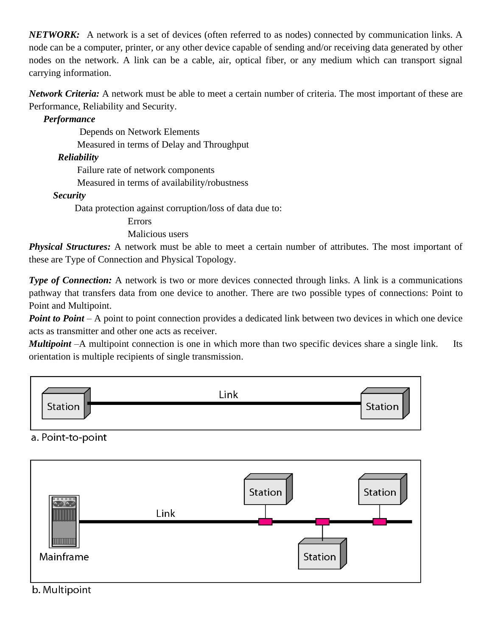*NETWORK:* A network is a set of devices (often referred to as nodes) connected by communication links. A node can be a computer, printer, or any other device capable of sending and/or receiving data generated by other nodes on the network. A link can be a cable, air, optical fiber, or any medium which can transport signal carrying information.

*Network Criteria:* A network must be able to meet a certain number of criteria. The most important of these are Performance, Reliability and Security.

## *Performance*

 Depends on Network Elements Measured in terms of Delay and Throughput

## *Reliability*

Failure rate of network components

Measured in terms of availability/robustness

## *Security*

Data protection against corruption/loss of data due to:

Errors

Malicious users

*Physical Structures:* A network must be able to meet a certain number of attributes. The most important of these are Type of Connection and Physical Topology.

*Type of Connection:* A network is two or more devices connected through links. A link is a communications pathway that transfers data from one device to another. There are two possible types of connections: Point to Point and Multipoint.

*Point to Point* – A point to point connection provides a dedicated link between two devices in which one device acts as transmitter and other one acts as receiver.

*Multipoint* –A multipoint connection is one in which more than two specific devices share a single link. Its orientation is multiple recipients of single transmission.



# a. Point-to-point

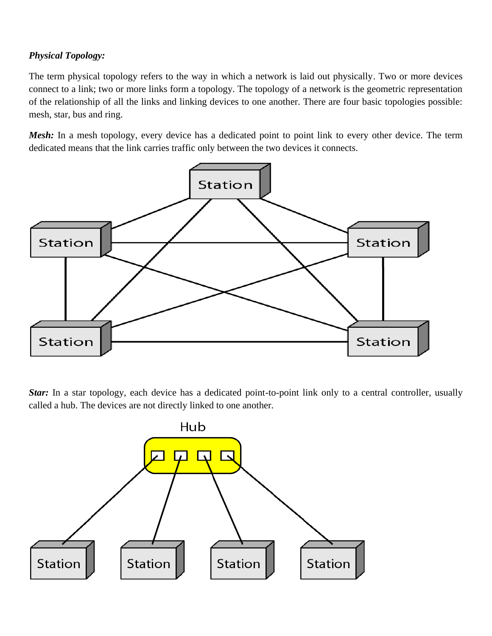## *Physical Topology:*

The term physical topology refers to the way in which a network is laid out physically. Two or more devices connect to a link; two or more links form a topology. The topology of a network is the geometric representation of the relationship of all the links and linking devices to one another. There are four basic topologies possible: mesh, star, bus and ring.

*Mesh:* In a mesh topology, every device has a dedicated point to point link to every other device. The term dedicated means that the link carries traffic only between the two devices it connects.



*Star:* In a star topology, each device has a dedicated point-to-point link only to a central controller, usually called a hub. The devices are not directly linked to one another.